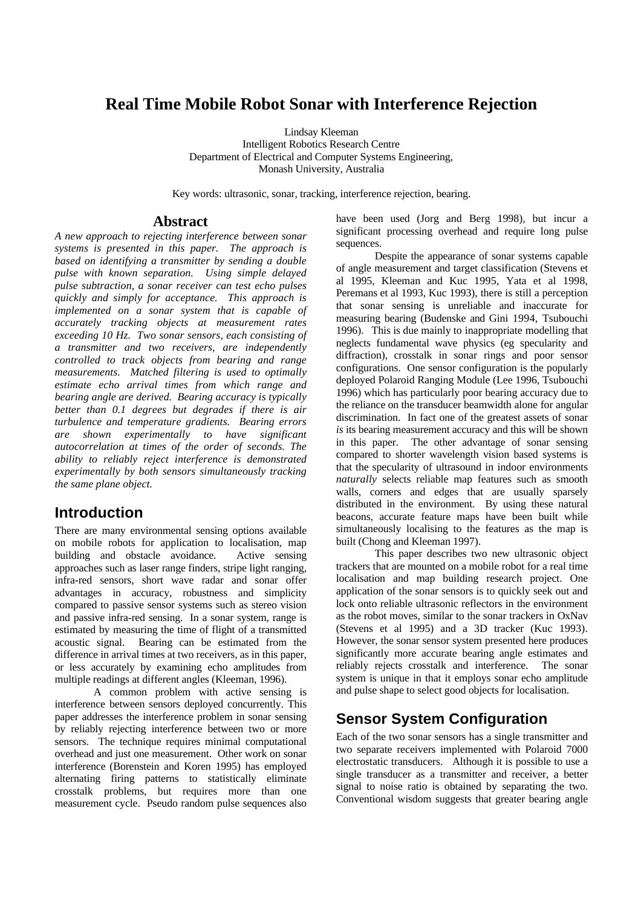# **Real Time Mobile Robot Sonar with Interference Rejection**

Lindsay Kleeman Intelligent Robotics Research Centre Department of Electrical and Computer Systems Engineering, Monash University, Australia

Key words: ultrasonic, sonar, tracking, interference rejection, bearing.

#### **Abstract**

*A new approach to rejecting interference between sonar systems is presented in this paper. The approach is based on identifying a transmitter by sending a double pulse with known separation. Using simple delayed pulse subtraction, a sonar receiver can test echo pulses quickly and simply for acceptance. This approach is implemented on a sonar system that is capable of accurately tracking objects at measurement rates exceeding 10 Hz. Two sonar sensors, each consisting of a transmitter and two receivers, are independently controlled to track objects from bearing and range measurements. Matched filtering is used to optimally estimate echo arrival times from which range and bearing angle are derived. Bearing accuracy is typically better than 0.1 degrees but degrades if there is air turbulence and temperature gradients. Bearing errors are shown experimentally to have significant autocorrelation at times of the order of seconds. The ability to reliably reject interference is demonstrated experimentally by both sensors simultaneously tracking the same plane object.*

### **Introduction**

There are many environmental sensing options available on mobile robots for application to localisation, map building and obstacle avoidance. Active sensing approaches such as laser range finders, stripe light ranging, infra-red sensors, short wave radar and sonar offer advantages in accuracy, robustness and simplicity compared to passive sensor systems such as stereo vision and passive infra-red sensing. In a sonar system, range is estimated by measuring the time of flight of a transmitted acoustic signal. Bearing can be estimated from the difference in arrival times at two receivers, as in this paper, or less accurately by examining echo amplitudes from multiple readings at different angles (Kleeman, 1996).

A common problem with active sensing is interference between sensors deployed concurrently. This paper addresses the interference problem in sonar sensing by reliably rejecting interference between two or more sensors. The technique requires minimal computational overhead and just one measurement. Other work on sonar interference (Borenstein and Koren 1995) has employed alternating firing patterns to statistically eliminate crosstalk problems, but requires more than one measurement cycle. Pseudo random pulse sequences also

have been used (Jorg and Berg 1998), but incur a significant processing overhead and require long pulse sequences.

Despite the appearance of sonar systems capable of angle measurement and target classification (Stevens et al 1995, Kleeman and Kuc 1995, Yata et al 1998, Peremans et al 1993, Kuc 1993), there is still a perception that sonar sensing is unreliable and inaccurate for measuring bearing (Budenske and Gini 1994, Tsubouchi 1996). This is due mainly to inappropriate modelling that neglects fundamental wave physics (eg specularity and diffraction), crosstalk in sonar rings and poor sensor configurations. One sensor configuration is the popularly deployed Polaroid Ranging Module (Lee 1996, Tsubouchi 1996) which has particularly poor bearing accuracy due to the reliance on the transducer beamwidth alone for angular discrimination. In fact one of the greatest assets of sonar *is* its bearing measurement accuracy and this will be shown in this paper. The other advantage of sonar sensing compared to shorter wavelength vision based systems is that the specularity of ultrasound in indoor environments *naturally* selects reliable map features such as smooth walls, corners and edges that are usually sparsely distributed in the environment. By using these natural beacons, accurate feature maps have been built while simultaneously localising to the features as the map is built (Chong and Kleeman 1997).

This paper describes two new ultrasonic object trackers that are mounted on a mobile robot for a real time localisation and map building research project. One application of the sonar sensors is to quickly seek out and lock onto reliable ultrasonic reflectors in the environment as the robot moves, similar to the sonar trackers in OxNav (Stevens et al 1995) and a 3D tracker (Kuc 1993). However, the sonar sensor system presented here produces significantly more accurate bearing angle estimates and reliably rejects crosstalk and interference. The sonar system is unique in that it employs sonar echo amplitude and pulse shape to select good objects for localisation.

# **Sensor System Configuration**

Each of the two sonar sensors has a single transmitter and two separate receivers implemented with Polaroid 7000 electrostatic transducers. Although it is possible to use a single transducer as a transmitter and receiver, a better signal to noise ratio is obtained by separating the two. Conventional wisdom suggests that greater bearing angle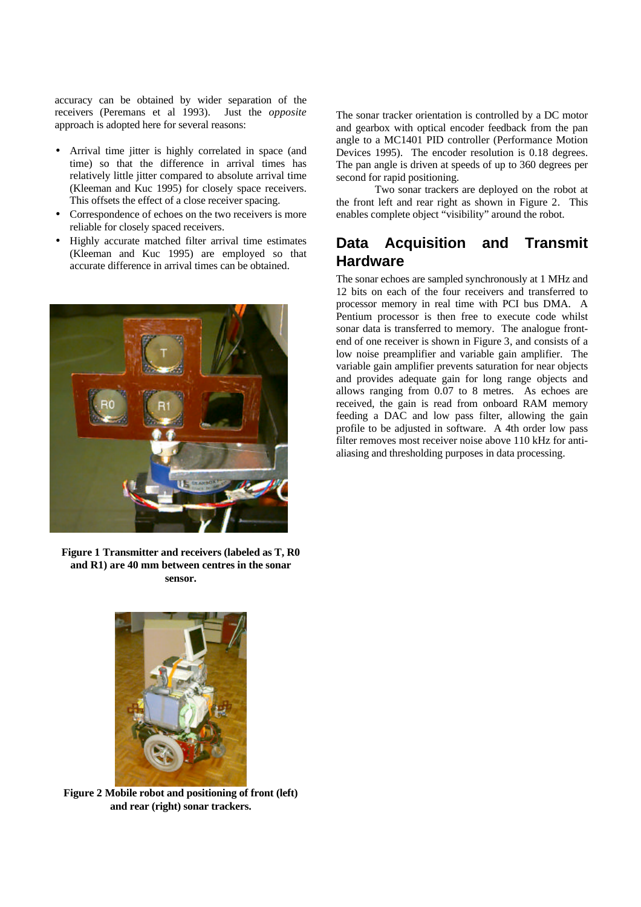accuracy can be obtained by wider separation of the receivers (Peremans et al 1993). Just the *opposite* approach is adopted here for several reasons:

- Arrival time jitter is highly correlated in space (and time) so that the difference in arrival times has relatively little jitter compared to absolute arrival time (Kleeman and Kuc 1995) for closely space receivers. This offsets the effect of a close receiver spacing.
- Correspondence of echoes on the two receivers is more reliable for closely spaced receivers.
- Highly accurate matched filter arrival time estimates (Kleeman and Kuc 1995) are employed so that accurate difference in arrival times can be obtained.



**Figure 1 Transmitter and receivers (labeled as T, R0 and R1) are 40 mm between centres in the sonar sensor.**

The sonar tracker orientation is controlled by a DC motor and gearbox with optical encoder feedback from the pan angle to a MC1401 PID controller (Performance Motion Devices 1995). The encoder resolution is 0.18 degrees. The pan angle is driven at speeds of up to 360 degrees per second for rapid positioning.

Two sonar trackers are deployed on the robot at the front left and rear right as shown in Figure 2. This enables complete object "visibility" around the robot.

# **Data Acquisition and Transmit Hardware**

The sonar echoes are sampled synchronously at 1 MHz and 12 bits on each of the four receivers and transferred to processor memory in real time with PCI bus DMA. A Pentium processor is then free to execute code whilst sonar data is transferred to memory. The analogue frontend of one receiver is shown in Figure 3, and consists of a low noise preamplifier and variable gain amplifier. The variable gain amplifier prevents saturation for near objects and provides adequate gain for long range objects and allows ranging from 0.07 to 8 metres. As echoes are received, the gain is read from onboard RAM memory feeding a DAC and low pass filter, allowing the gain profile to be adjusted in software. A 4th order low pass filter removes most receiver noise above 110 kHz for antialiasing and thresholding purposes in data processing.



**Figure 2 Mobile robot and positioning of front (left) and rear (right) sonar trackers.**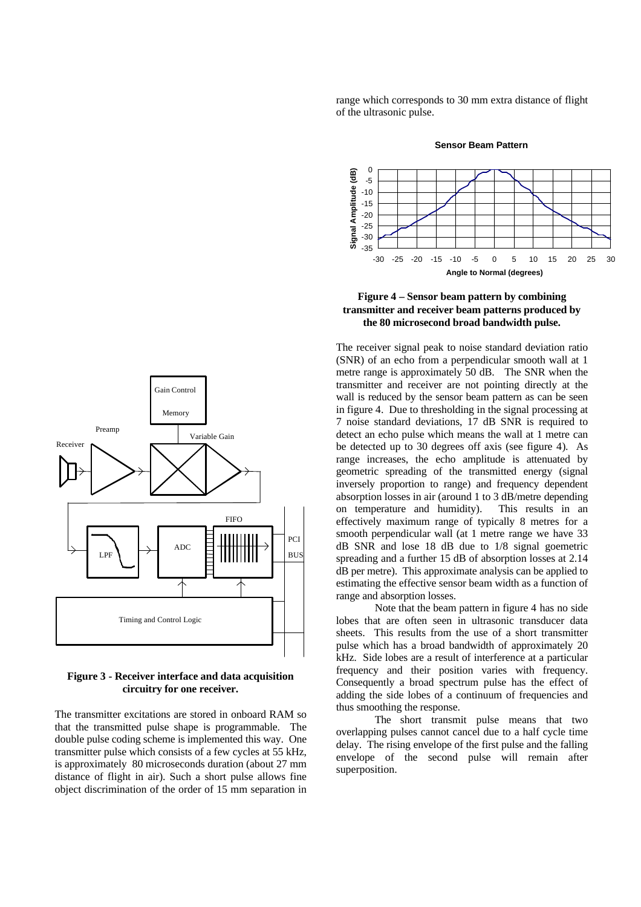range which corresponds to 30 mm extra distance of flight of the ultrasonic pulse.



**Sensor Beam Pattern**



#### **Figure 4 – Sensor beam pattern by combining transmitter and receiver beam patterns produced by the 80 microsecond broad bandwidth pulse.**

The receiver signal peak to noise standard deviation ratio (SNR) of an echo from a perpendicular smooth wall at 1 metre range is approximately 50 dB. The SNR when the transmitter and receiver are not pointing directly at the wall is reduced by the sensor beam pattern as can be seen in figure 4. Due to thresholding in the signal processing at 7 noise standard deviations, 17 dB SNR is required to detect an echo pulse which means the wall at 1 metre can be detected up to 30 degrees off axis (see figure 4). As range increases, the echo amplitude is attenuated by geometric spreading of the transmitted energy (signal inversely proportion to range) and frequency dependent absorption losses in air (around 1 to 3 dB/metre depending on temperature and humidity). This results in an effectively maximum range of typically 8 metres for a smooth perpendicular wall (at 1 metre range we have 33 dB SNR and lose 18 dB due to 1/8 signal goemetric spreading and a further 15 dB of absorption losses at 2.14 dB per metre). This approximate analysis can be applied to estimating the effective sensor beam width as a function of range and absorption losses.

Note that the beam pattern in figure 4 has no side lobes that are often seen in ultrasonic transducer data sheets. This results from the use of a short transmitter pulse which has a broad bandwidth of approximately 20 kHz. Side lobes are a result of interference at a particular frequency and their position varies with frequency. Consequently a broad spectrum pulse has the effect of adding the side lobes of a continuum of frequencies and thus smoothing the response.

The short transmit pulse means that two overlapping pulses cannot cancel due to a half cycle time delay. The rising envelope of the first pulse and the falling envelope of the second pulse will remain after superposition.



#### **Figure 3 - Receiver interface and data acquisition circuitry for one receiver.**

The transmitter excitations are stored in onboard RAM so that the transmitted pulse shape is programmable. The double pulse coding scheme is implemented this way. One transmitter pulse which consists of a few cycles at 55 kHz, is approximately 80 microseconds duration (about 27 mm distance of flight in air). Such a short pulse allows fine object discrimination of the order of 15 mm separation in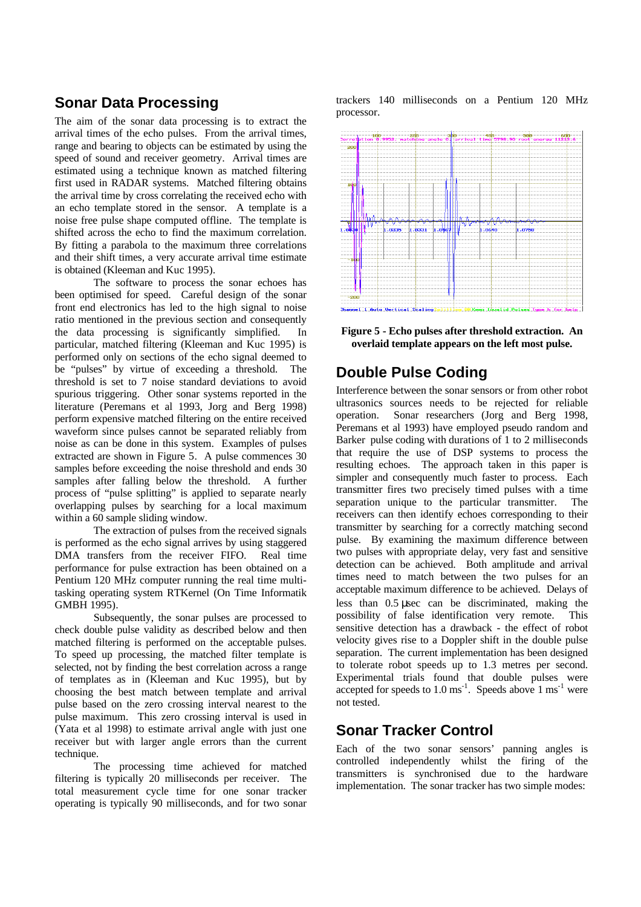## **Sonar Data Processing**

The aim of the sonar data processing is to extract the arrival times of the echo pulses. From the arrival times, range and bearing to objects can be estimated by using the speed of sound and receiver geometry. Arrival times are estimated using a technique known as matched filtering first used in RADAR systems. Matched filtering obtains the arrival time by cross correlating the received echo with an echo template stored in the sensor. A template is a noise free pulse shape computed offline. The template is shifted across the echo to find the maximum correlation. By fitting a parabola to the maximum three correlations and their shift times, a very accurate arrival time estimate is obtained (Kleeman and Kuc 1995).

The software to process the sonar echoes has been optimised for speed. Careful design of the sonar front end electronics has led to the high signal to noise ratio mentioned in the previous section and consequently the data processing is significantly simplified. In particular, matched filtering (Kleeman and Kuc 1995) is performed only on sections of the echo signal deemed to be "pulses" by virtue of exceeding a threshold. The threshold is set to 7 noise standard deviations to avoid spurious triggering. Other sonar systems reported in the literature (Peremans et al 1993, Jorg and Berg 1998) perform expensive matched filtering on the entire received waveform since pulses cannot be separated reliably from noise as can be done in this system. Examples of pulses extracted are shown in Figure 5. A pulse commences 30 samples before exceeding the noise threshold and ends 30 samples after falling below the threshold. A further process of "pulse splitting" is applied to separate nearly overlapping pulses by searching for a local maximum within a 60 sample sliding window.

The extraction of pulses from the received signals is performed as the echo signal arrives by using staggered DMA transfers from the receiver FIFO. Real time performance for pulse extraction has been obtained on a Pentium 120 MHz computer running the real time multitasking operating system RTKernel (On Time Informatik GMBH 1995).

Subsequently, the sonar pulses are processed to check double pulse validity as described below and then matched filtering is performed on the acceptable pulses. To speed up processing, the matched filter template is selected, not by finding the best correlation across a range of templates as in (Kleeman and Kuc 1995), but by choosing the best match between template and arrival pulse based on the zero crossing interval nearest to the pulse maximum. This zero crossing interval is used in (Yata et al 1998) to estimate arrival angle with just one receiver but with larger angle errors than the current technique.

The processing time achieved for matched filtering is typically 20 milliseconds per receiver. The total measurement cycle time for one sonar tracker operating is typically 90 milliseconds, and for two sonar

trackers 140 milliseconds on a Pentium 120 MHz processor.



**Figure 5 - Echo pulses after threshold extraction. An overlaid template appears on the left most pulse.**

# **Double Pulse Coding**

Interference between the sonar sensors or from other robot ultrasonics sources needs to be rejected for reliable operation. Sonar researchers (Jorg and Berg 1998, Peremans et al 1993) have employed pseudo random and Barker pulse coding with durations of 1 to 2 milliseconds that require the use of DSP systems to process the resulting echoes. The approach taken in this paper is simpler and consequently much faster to process. Each transmitter fires two precisely timed pulses with a time separation unique to the particular transmitter. The receivers can then identify echoes corresponding to their transmitter by searching for a correctly matching second pulse. By examining the maximum difference between two pulses with appropriate delay, very fast and sensitive detection can be achieved. Both amplitude and arrival times need to match between the two pulses for an acceptable maximum difference to be achieved. Delays of less than 0.5 μsec can be discriminated, making the possibility of false identification very remote. This sensitive detection has a drawback - the effect of robot velocity gives rise to a Doppler shift in the double pulse separation. The current implementation has been designed to tolerate robot speeds up to 1.3 metres per second. Experimental trials found that double pulses were accepted for speeds to  $1.0 \text{ ms}^{-1}$ . Speeds above  $1 \text{ ms}^{-1}$  were not tested.

# **Sonar Tracker Control**

Each of the two sonar sensors' panning angles is controlled independently whilst the firing of the transmitters is synchronised due to the hardware implementation. The sonar tracker has two simple modes: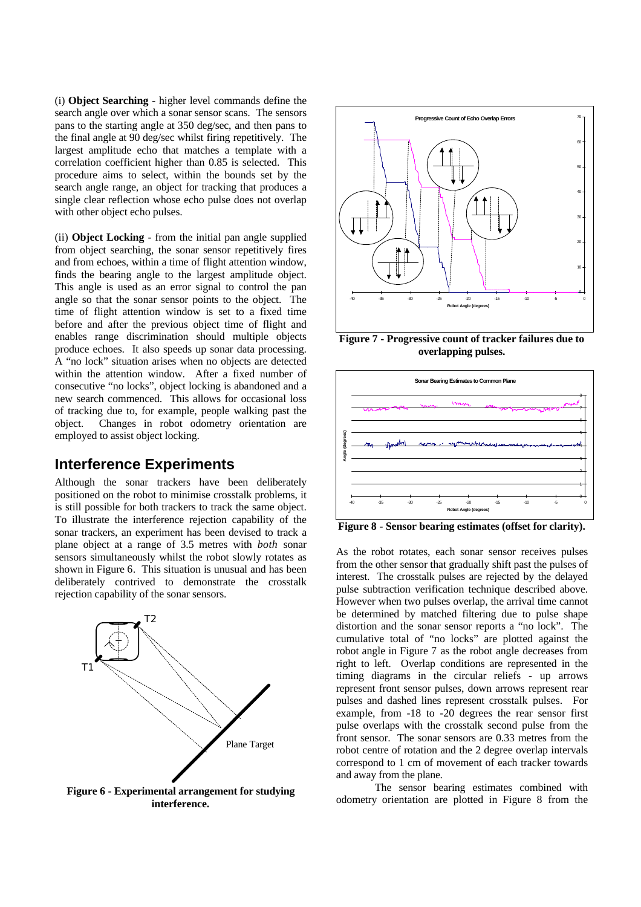(i) **Object Searching** - higher level commands define the search angle over which a sonar sensor scans. The sensors pans to the starting angle at 350 deg/sec, and then pans to the final angle at 90 deg/sec whilst firing repetitively. The largest amplitude echo that matches a template with a correlation coefficient higher than 0.85 is selected. This procedure aims to select, within the bounds set by the search angle range, an object for tracking that produces a single clear reflection whose echo pulse does not overlap with other object echo pulses.

(ii) **Object Locking** - from the initial pan angle supplied from object searching, the sonar sensor repetitively fires and from echoes, within a time of flight attention window, finds the bearing angle to the largest amplitude object. This angle is used as an error signal to control the pan angle so that the sonar sensor points to the object. The time of flight attention window is set to a fixed time before and after the previous object time of flight and enables range discrimination should multiple objects produce echoes. It also speeds up sonar data processing. A "no lock" situation arises when no objects are detected within the attention window. After a fixed number of consecutive "no locks", object locking is abandoned and a new search commenced. This allows for occasional loss of tracking due to, for example, people walking past the object. Changes in robot odometry orientation are employed to assist object locking.

#### **Interference Experiments**

Although the sonar trackers have been deliberately positioned on the robot to minimise crosstalk problems, it is still possible for both trackers to track the same object. To illustrate the interference rejection capability of the sonar trackers, an experiment has been devised to track a plane object at a range of 3.5 metres with *both* sonar sensors simultaneously whilst the robot slowly rotates as shown in Figure 6. This situation is unusual and has been deliberately contrived to demonstrate the crosstalk rejection capability of the sonar sensors.



**Figure 6 - Experimental arrangement for studying interference.**



**Figure 7 - Progressive count of tracker failures due to overlapping pulses.**



**Figure 8 - Sensor bearing estimates (offset for clarity).**

As the robot rotates, each sonar sensor receives pulses from the other sensor that gradually shift past the pulses of interest. The crosstalk pulses are rejected by the delayed pulse subtraction verification technique described above. However when two pulses overlap, the arrival time cannot be determined by matched filtering due to pulse shape distortion and the sonar sensor reports a "no lock". The cumulative total of "no locks" are plotted against the robot angle in Figure 7 as the robot angle decreases from right to left. Overlap conditions are represented in the timing diagrams in the circular reliefs - up arrows represent front sensor pulses, down arrows represent rear pulses and dashed lines represent crosstalk pulses. For example, from -18 to -20 degrees the rear sensor first pulse overlaps with the crosstalk second pulse from the front sensor. The sonar sensors are 0.33 metres from the robot centre of rotation and the 2 degree overlap intervals correspond to 1 cm of movement of each tracker towards and away from the plane.

The sensor bearing estimates combined with odometry orientation are plotted in Figure 8 from the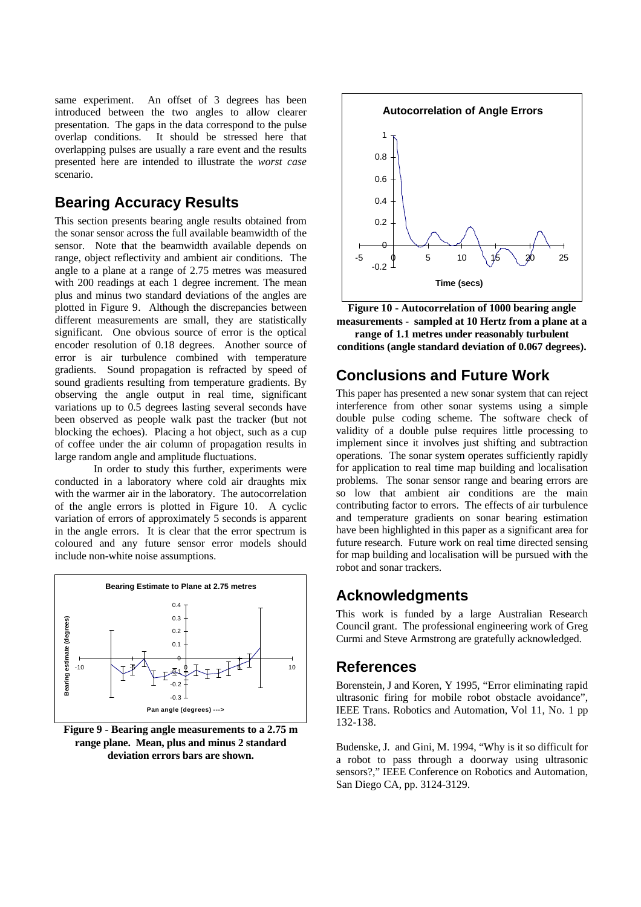same experiment. An offset of 3 degrees has been introduced between the two angles to allow clearer presentation. The gaps in the data correspond to the pulse overlap conditions. It should be stressed here that overlapping pulses are usually a rare event and the results presented here are intended to illustrate the *worst case* scenario.

### **Bearing Accuracy Results**

This section presents bearing angle results obtained from the sonar sensor across the full available beamwidth of the sensor. Note that the beamwidth available depends on range, object reflectivity and ambient air conditions. The angle to a plane at a range of 2.75 metres was measured with 200 readings at each 1 degree increment. The mean plus and minus two standard deviations of the angles are plotted in Figure 9. Although the discrepancies between different measurements are small, they are statistically significant. One obvious source of error is the optical encoder resolution of 0.18 degrees. Another source of error is air turbulence combined with temperature gradients. Sound propagation is refracted by speed of sound gradients resulting from temperature gradients. By observing the angle output in real time, significant variations up to 0.5 degrees lasting several seconds have been observed as people walk past the tracker (but not blocking the echoes). Placing a hot object, such as a cup of coffee under the air column of propagation results in large random angle and amplitude fluctuations.

In order to study this further, experiments were conducted in a laboratory where cold air draughts mix with the warmer air in the laboratory. The autocorrelation of the angle errors is plotted in Figure 10. A cyclic variation of errors of approximately 5 seconds is apparent in the angle errors. It is clear that the error spectrum is coloured and any future sensor error models should include non-white noise assumptions.



**Figure 9 - Bearing angle measurements to a 2.75 m range plane. Mean, plus and minus 2 standard deviation errors bars are shown.**



**Figure 10 - Autocorrelation of 1000 bearing angle measurements - sampled at 10 Hertz from a plane at a range of 1.1 metres under reasonably turbulent conditions (angle standard deviation of 0.067 degrees).**

## **Conclusions and Future Work**

This paper has presented a new sonar system that can reject interference from other sonar systems using a simple double pulse coding scheme. The software check of validity of a double pulse requires little processing to implement since it involves just shifting and subtraction operations. The sonar system operates sufficiently rapidly for application to real time map building and localisation problems. The sonar sensor range and bearing errors are so low that ambient air conditions are the main contributing factor to errors. The effects of air turbulence and temperature gradients on sonar bearing estimation have been highlighted in this paper as a significant area for future research. Future work on real time directed sensing for map building and localisation will be pursued with the robot and sonar trackers.

# **Acknowledgments**

This work is funded by a large Australian Research Council grant. The professional engineering work of Greg Curmi and Steve Armstrong are gratefully acknowledged.

### **References**

Borenstein, J and Koren, Y 1995, "Error eliminating rapid ultrasonic firing for mobile robot obstacle avoidance", IEEE Trans. Robotics and Automation, Vol 11, No. 1 pp 132-138.

Budenske, J. and Gini, M. 1994, "Why is it so difficult for a robot to pass through a doorway using ultrasonic sensors?," IEEE Conference on Robotics and Automation, San Diego CA, pp. 3124-3129.